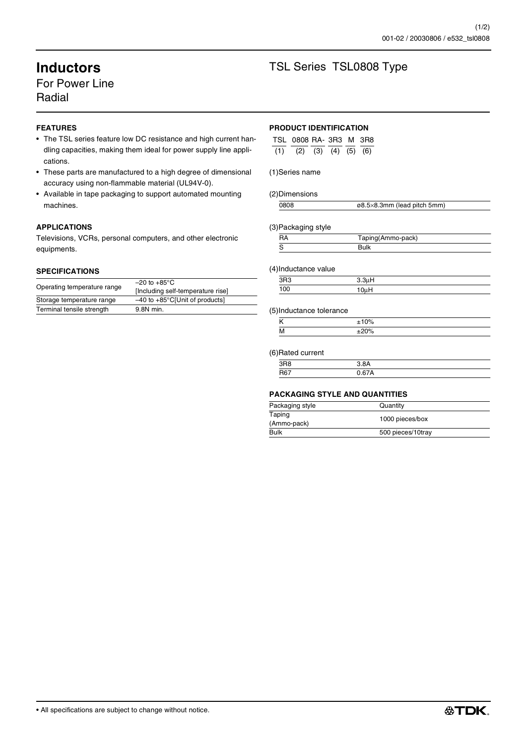## For Power Line Radial

### **FEATURES**

- The TSL series feature low DC resistance and high current handling capacities, making them ideal for power supply line applications.
- These parts are manufactured to a high degree of dimensional accuracy using non-flammable material (UL94V-0).
- Available in tape packaging to support automated mounting machines.

### **APPLICATIONS**

Televisions, VCRs, personal computers, and other electronic equipments.

#### **SPECIFICATIONS**

|                             | $-20$ to $+85^{\circ}$ C                   |
|-----------------------------|--------------------------------------------|
| Operating temperature range | [Including self-temperature rise]          |
| Storage temperature range   | $-40$ to $+85^{\circ}$ C[Unit of products] |
| Terminal tensile strength   | 9.8N min.                                  |
|                             |                                            |

# **Inductors** TSL Series TSL0808 Type

#### **PRODUCT IDENTIFICATION**

| TSL 0808 RA-3R3 M 3R8               |  |  |
|-------------------------------------|--|--|
| $(1)$ $(2)$ $(3)$ $(4)$ $(5)$ $(6)$ |  |  |

#### (1)Series name

#### (2)Dimensions

| 8080 | ø8.5×8.3mm (lead pitch 5mm) |
|------|-----------------------------|

#### (3)Packaging style

| Taping(Ammo-pack) |  |
|-------------------|--|
|                   |  |

#### (4)Inductance value

|            | $\sim$ $\sim$ |  |
|------------|---------------|--|
| $ -$<br>nr |               |  |

#### (5)Inductance tolerance

| $\cdots$ |  |
|----------|--|
|          |  |

#### (6)Rated current

| <u> 1</u>    |   |  |
|--------------|---|--|
|              |   |  |
| $Dc^-$<br>יי | . |  |
|              |   |  |

#### **PACKAGING STYLE AND QUANTITIES**

| Packaging style       | Quantity          |
|-----------------------|-------------------|
| Taping<br>(Ammo-pack) | 1000 pieces/box   |
| <b>Bulk</b>           | 500 pieces/10tray |